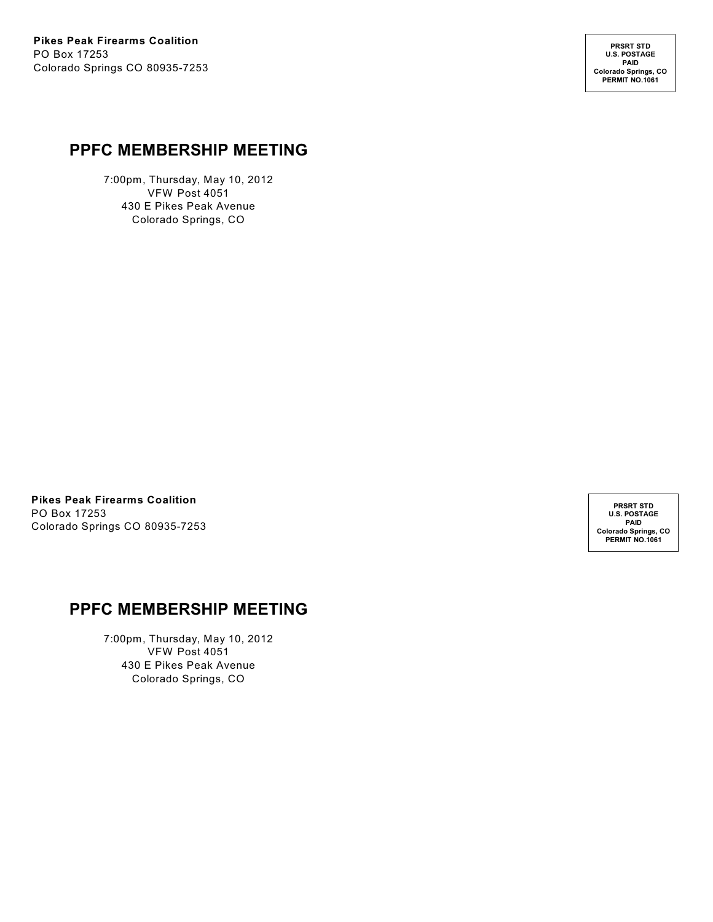**PRSRT STD U.S. POSTAGE PAID Colorado Springs, CO PERMIT NO.1061**

#### **PPFC MEMBERSHIP MEETING**

7:00pm, Thursday, May 10, 2012 VFW Post 4051 430 E Pikes Peak Avenue Colorado Springs, CO

**Pikes Peak Firearms Coalition** PO Box 17253 Colorado Springs CO 80935-7253

**PRSRT STD U.S. POSTAGE PAID Colorado Springs, CO PERMIT NO.1061**

### **PPFC MEMBERSHIP MEETING**

7:00pm, Thursday, May 10, 2012 VFW Post 4051 430 E Pikes Peak Avenue Colorado Springs, CO